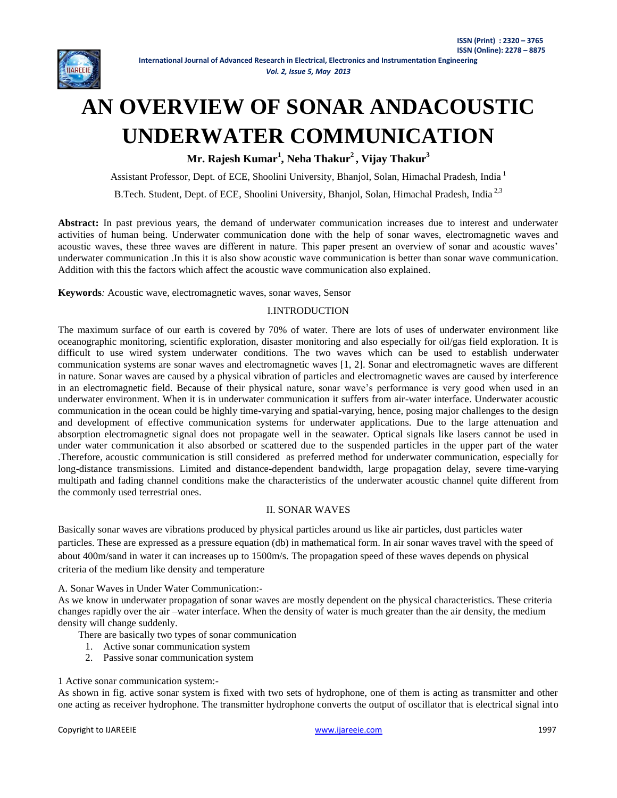

#### *Vol. 2, Issue 5, May 2013*

# **AN OVERVIEW OF SONAR ANDACOUSTIC UNDERWATER COMMUNICATION**

**Mr. Rajesh Kumar<sup>1</sup> , Neha Thakur<sup>2</sup> , Vijay Thakur<sup>3</sup>**

Assistant Professor, Dept. of ECE, Shoolini University, Bhanjol, Solan, Himachal Pradesh, India 1

B.Tech. Student, Dept. of ECE, Shoolini University, Bhanjol, Solan, Himachal Pradesh, India<sup>2,3</sup>

**Abstract:** In past previous years, the demand of underwater communication increases due to interest and underwater activities of human being. Underwater communication done with the help of sonar waves, electromagnetic waves and acoustic waves, these three waves are different in nature. This paper present an overview of sonar and acoustic waves' underwater communication .In this it is also show acoustic wave communication is better than sonar wave communication. Addition with this the factors which affect the acoustic wave communication also explained.

**Keywords***:* Acoustic wave, electromagnetic waves, sonar waves, Sensor

## I.INTRODUCTION

The maximum surface of our earth is covered by 70% of water. There are lots of uses of underwater environment like oceanographic monitoring, scientific exploration, disaster monitoring and also especially for oil/gas field exploration. It is difficult to use wired system underwater conditions. The two waves which can be used to establish underwater communication systems are sonar waves and electromagnetic waves [1, 2]. Sonar and electromagnetic waves are different in nature. Sonar waves are caused by a physical vibration of particles and electromagnetic waves are caused by interference in an electromagnetic field. Because of their physical nature, sonar wave's performance is very good when used in an underwater environment. When it is in underwater communication it suffers from air-water interface. Underwater acoustic communication in the ocean could be highly time-varying and spatial-varying, hence, posing major challenges to the design and development of effective communication systems for underwater applications. Due to the large attenuation and absorption electromagnetic signal does not propagate well in the seawater. Optical signals like lasers cannot be used in under water communication it also absorbed or scattered due to the suspended particles in the upper part of the water .Therefore, acoustic communication is still considered as preferred method for underwater communication, especially for long-distance transmissions. Limited and distance-dependent bandwidth, large propagation delay, severe time-varying multipath and fading channel conditions make the characteristics of the underwater acoustic channel quite different from the commonly used terrestrial ones.

## II. SONAR WAVES

Basically sonar waves are vibrations produced by physical particles around us like air particles, dust particles water particles. These are expressed as a pressure equation (db) in mathematical form. In air sonar waves travel with the speed of about 400m/sand in water it can increases up to 1500m/s. The propagation speed of these waves depends on physical criteria of the medium like density and temperature

A. Sonar Waves in Under Water Communication:-

As we know in underwater propagation of sonar waves are mostly dependent on the physical characteristics. These criteria changes rapidly over the air –water interface. When the density of water is much greater than the air density, the medium density will change suddenly.

There are basically two types of sonar communication

- 1. Active sonar communication system
- 2. Passive sonar communication system

## 1 Active sonar communication system:-

As shown in fig. active sonar system is fixed with two sets of hydrophone, one of them is acting as transmitter and other one acting as receiver hydrophone. The transmitter hydrophone converts the output of oscillator that is electrical signal into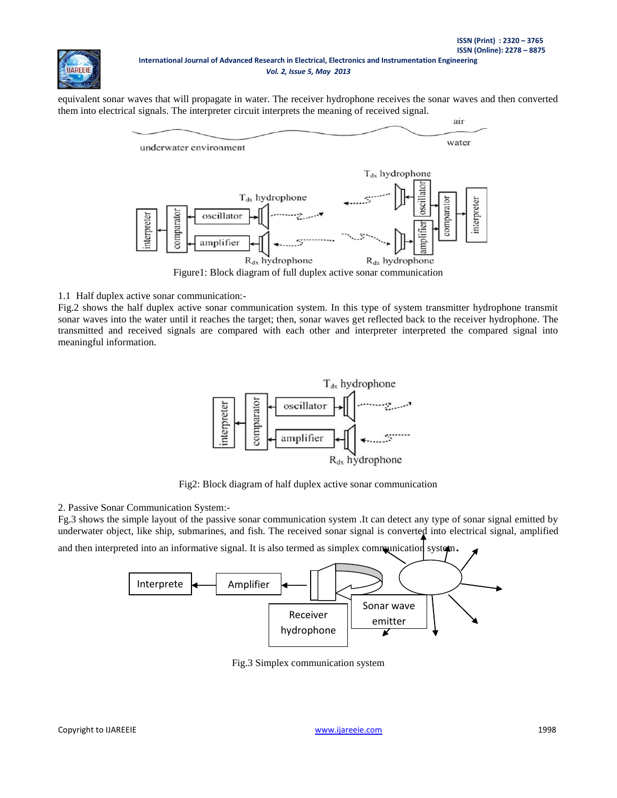air

equivalent sonar waves that will propagate in water. The receiver hydrophone receives the sonar waves and then converted them into electrical signals. The interpreter circuit interprets the meaning of received signal.



Figure1: Block diagram of full duplex active sonar communication

1.1 Half duplex active sonar communication:-

**IIAREEI** 

Fig.2 shows the half duplex active sonar communication system. In this type of system transmitter hydrophone transmit sonar waves into the water until it reaches the target; then, sonar waves get reflected back to the receiver hydrophone. The transmitted and received signals are compared with each other and interpreter interpreted the compared signal into meaningful information.



Fig2: Block diagram of half duplex active sonar communication

2. Passive Sonar Communication System:-

Fg.3 shows the simple layout of the passive sonar communication system .It can detect any type of sonar signal emitted by underwater object, like ship, submarines, and fish. The received sonar signal is converted into electrical signal, amplified

and then interpreted into an informative signal. It is also termed as simplex communication system.



Fig.3 Simplex communication system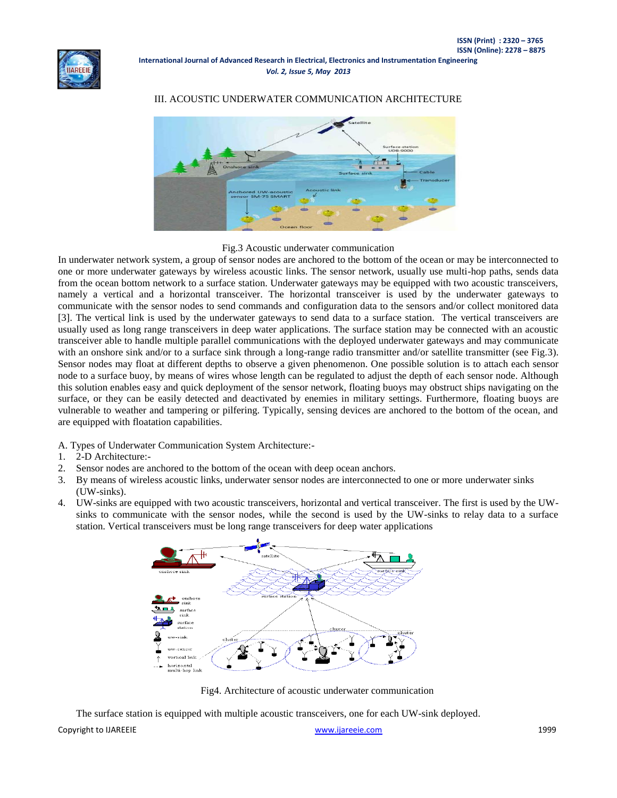

**International Journal of Advanced Research in Electrical, Electronics and Instrumentation Engineering** *Vol. 2, Issue 5, May 2013*

## III. ACOUSTIC UNDERWATER COMMUNICATION ARCHITECTURE



#### Fig.3 Acoustic underwater communication

In underwater network system, a group of sensor nodes are anchored to the bottom of the ocean or may be interconnected to one or more underwater gateways by wireless acoustic links. The sensor network, usually use multi-hop paths, sends data from the ocean bottom network to a surface station. Underwater gateways may be equipped with two acoustic transceivers, namely a vertical and a horizontal transceiver. The horizontal transceiver is used by the underwater gateways to communicate with the sensor nodes to send commands and configuration data to the sensors and/or collect monitored data [3]. The vertical link is used by the underwater gateways to send data to a surface station. The vertical transceivers are usually used as long range transceivers in deep water applications. The surface station may be connected with an acoustic transceiver able to handle multiple parallel communications with the deployed underwater gateways and may communicate with an onshore sink and/or to a surface sink through a long-range radio transmitter and/or satellite transmitter (see Fig.3). Sensor nodes may float at different depths to observe a given phenomenon. One possible solution is to attach each sensor node to a surface buoy, by means of wires whose length can be regulated to adjust the depth of each sensor node. Although this solution enables easy and quick deployment of the sensor network, floating buoys may obstruct ships navigating on the surface, or they can be easily detected and deactivated by enemies in military settings. Furthermore, floating buoys are vulnerable to weather and tampering or pilfering. Typically, sensing devices are anchored to the bottom of the ocean, and are equipped with floatation capabilities.

A. Types of Underwater Communication System Architecture:-

- 1. 2-D Architecture:-
- 2. Sensor nodes are anchored to the bottom of the ocean with deep ocean anchors.
- 3. By means of wireless acoustic links, underwater sensor nodes are interconnected to one or more underwater sinks (UW-sinks).
- 4. UW-sinks are equipped with two acoustic transceivers, horizontal and vertical transceiver. The first is used by the UWsinks to communicate with the sensor nodes, while the second is used by the UW-sinks to relay data to a surface station. Vertical transceivers must be long range transceivers for deep water applications



Fig4. Architecture of acoustic underwater communication

The surface station is equipped with multiple acoustic transceivers, one for each UW-sink deployed.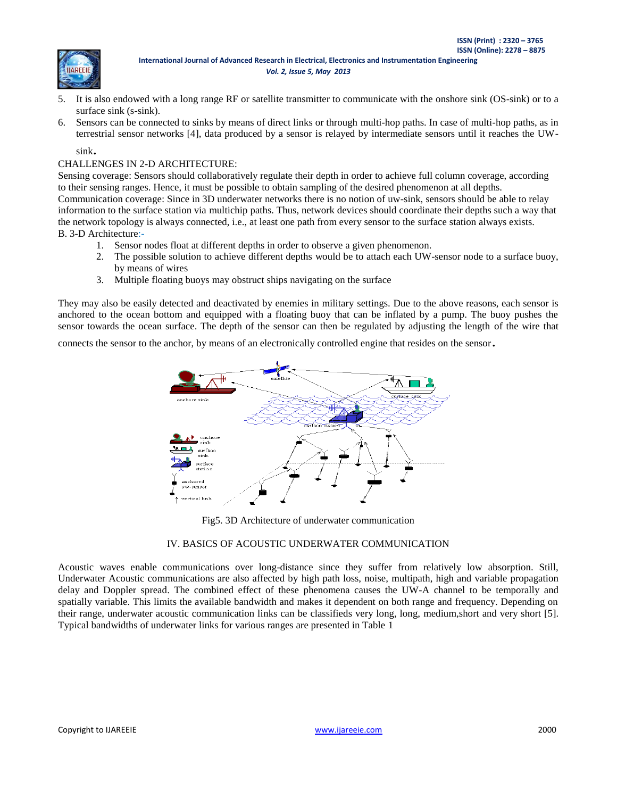**ISSN (Print) : 2320 – 3765** 



- 5. It is also endowed with a long range RF or satellite transmitter to communicate with the onshore sink (OS-sink) or to a surface sink (s-sink).
- 6. Sensors can be connected to sinks by means of direct links or through multi-hop paths. In case of multi-hop paths, as in terrestrial sensor networks [4], data produced by a sensor is relayed by intermediate sensors until it reaches the UW-

sink.

# CHALLENGES IN 2-D ARCHITECTURE:

Sensing coverage: Sensors should collaboratively regulate their depth in order to achieve full column coverage, according to their sensing ranges. Hence, it must be possible to obtain sampling of the desired phenomenon at all depths. Communication coverage: Since in 3D underwater networks there is no notion of uw-sink, sensors should be able to relay information to the surface station via multichip paths. Thus, network devices should coordinate their depths such a way that the network topology is always connected, i.e., at least one path from every sensor to the surface station always exists. B. 3-D Architecture:-

- 1. Sensor nodes float at different depths in order to observe a given phenomenon.
- 2. The possible solution to achieve different depths would be to attach each UW-sensor node to a surface buoy, by means of wires
- 3. Multiple floating buoys may obstruct ships navigating on the surface

They may also be easily detected and deactivated by enemies in military settings. Due to the above reasons, each sensor is anchored to the ocean bottom and equipped with a floating buoy that can be inflated by a pump. The buoy pushes the sensor towards the ocean surface. The depth of the sensor can then be regulated by adjusting the length of the wire that

connects the sensor to the anchor, by means of an electronically controlled engine that resides on the sensor.



Fig5. 3D Architecture of underwater communication

# IV. BASICS OF ACOUSTIC UNDERWATER COMMUNICATION

Acoustic waves enable communications over long-distance since they suffer from relatively low absorption. Still, Underwater Acoustic communications are also affected by high path loss, noise, multipath, high and variable propagation delay and Doppler spread. The combined effect of these phenomena causes the UW-A channel to be temporally and spatially variable. This limits the available bandwidth and makes it dependent on both range and frequency. Depending on their range, underwater acoustic communication links can be classifieds very long, long, medium,short and very short [5]. Typical bandwidths of underwater links for various ranges are presented in Table 1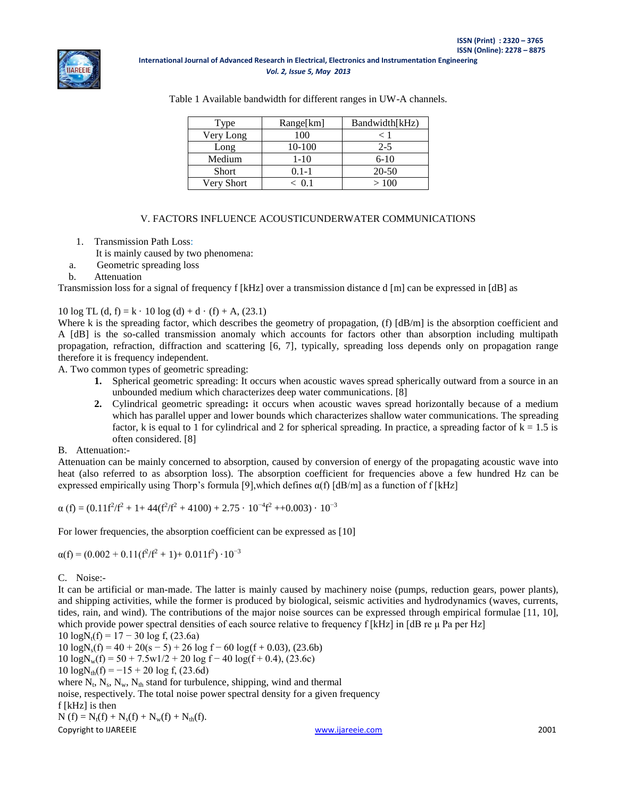

**International Journal of Advanced Research in Electrical, Electronics and Instrumentation Engineering** *Vol. 2, Issue 5, May 2013*

| Type         | Range[km] | Bandwidth[kHz) |
|--------------|-----------|----------------|
| Very Long    | 100       | < 1            |
| Long         | 10-100    | $2 - 5$        |
| Medium       | $1-10$    | $6 - 10$       |
| <b>Short</b> | $0.1 - 1$ | 20-50          |
| Very Short   | < 0 1     | >100           |

Table 1 Available bandwidth for different ranges in UW-A channels.

#### V. FACTORS INFLUENCE ACOUSTICUNDERWATER COMMUNICATIONS

1. Transmission Path Loss:

It is mainly caused by two phenomena:

a. Geometric spreading loss

b. Attenuation

Transmission loss for a signal of frequency f [kHz] over a transmission distance d [m] can be expressed in [dB] as

## 10 log TL (d, f) = k · 10 log (d) + d · (f) + A, (23.1)

Where k is the spreading factor, which describes the geometry of propagation, (f)  $[dB/m]$  is the absorption coefficient and A [dB] is the so-called transmission anomaly which accounts for factors other than absorption including multipath propagation, refraction, diffraction and scattering [6, 7], typically, spreading loss depends only on propagation range therefore it is frequency independent.

A. Two common types of geometric spreading:

- **1.** Spherical geometric spreading: It occurs when acoustic waves spread spherically outward from a source in an unbounded medium which characterizes deep water communications. [8]
- **2.** Cylindrical geometric spreading**:** it occurs when acoustic waves spread horizontally because of a medium which has parallel upper and lower bounds which characterizes shallow water communications. The spreading factor, k is equal to 1 for cylindrical and 2 for spherical spreading. In practice, a spreading factor of  $k = 1.5$  is often considered. [8]

#### B. Attenuation:-

Attenuation can be mainly concerned to absorption, caused by conversion of energy of the propagating acoustic wave into heat (also referred to as absorption loss). The absorption coefficient for frequencies above a few hundred Hz can be expressed empirically using Thorp's formula [9], which defines  $\alpha(f)$  [dB/m] as a function of f [kHz]

$$
\alpha(f) = (0.11f^2/f^2 + 1 + 44(f^2/f^2 + 4100) + 2.75 \cdot 10^{-4}f^2 + 0.003) \cdot 10^{-3}
$$

For lower frequencies, the absorption coefficient can be expressed as [10]

 $\alpha(f) = (0.002 + 0.11(f^2/f^2 + 1) + 0.011f^2) \cdot 10^{-3}$ 

C. Noise:-

It can be artificial or man-made. The latter is mainly caused by machinery noise (pumps, reduction gears, power plants), and shipping activities, while the former is produced by biological, seismic activities and hydrodynamics (waves, currents, tides, rain, and wind). The contributions of the major noise sources can be expressed through empirical formulae [11, 10], which provide power spectral densities of each source relative to frequency f [kHz] in [dB re μ Pa per Hz]

 $10 \log N_t(f) = 17 - 30 \log f$ , (23.6a)  $10 \text{ logN}_s(f) = 40 + 20(s - 5) + 26 \text{ log} f - 60 \text{ log}(f + 0.03),$  (23.6b)  $10 \log N_w(f) = 50 + 7.5w1/2 + 20 \log f - 40 \log(f + 0.4)$ , (23.6c)  $10 \log N_{\text{th}}(f) = -15 + 20 \log f$ , (23.6d) where  $N_t$ ,  $N_s$ ,  $N_w$ ,  $N_{th}$  stand for turbulence, shipping, wind and thermal noise, respectively. The total noise power spectral density for a given frequency f [kHz] is then

Copyright to IJAREEIE [www.ijareeie.com](http://www.ijareeie.com/) 2001  $N(f) = N_t(f) + N_s(f) + N_w(f) + N_{th}(f).$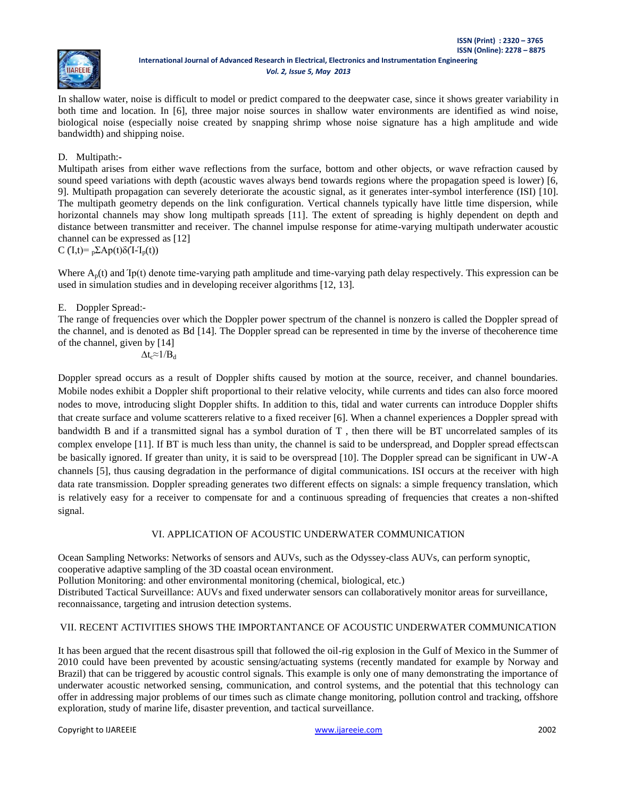

In shallow water, noise is difficult to model or predict compared to the deepwater case, since it shows greater variability in both time and location. In [6], three major noise sources in shallow water environments are identified as wind noise, biological noise (especially noise created by snapping shrimp whose noise signature has a high amplitude and wide bandwidth) and shipping noise.

## D. Multipath:**-**

Multipath arises from either wave reflections from the surface, bottom and other objects, or wave refraction caused by sound speed variations with depth (acoustic waves always bend towards regions where the propagation speed is lower) [6, 9]. Multipath propagation can severely deteriorate the acoustic signal, as it generates inter-symbol interference (ISI) [10]. The multipath geometry depends on the link configuration. Vertical channels typically have little time dispersion, while horizontal channels may show long multipath spreads [11]. The extent of spreading is highly dependent on depth and distance between transmitter and receiver. The channel impulse response for atime-varying multipath underwater acoustic channel can be expressed as [12]

C ( $I_0(t) = \frac{D}{2} \sum A p(t) \delta(I - I_p(t))$ 

Where  $A_p(t)$  and  $Ip(t)$  denote time-varying path amplitude and time-varying path delay respectively. This expression can be used in simulation studies and in developing receiver algorithms [12, 13].

## E. Doppler Spread:-

The range of frequencies over which the Doppler power spectrum of the channel is nonzero is called the Doppler spread of the channel, and is denoted as Bd [14]. The Doppler spread can be represented in time by the inverse of thecoherence time of the channel, given by [14]  $\Delta t_c \approx 1/B_d$ 

Doppler spread occurs as a result of Doppler shifts caused by motion at the source, receiver, and channel boundaries. Mobile nodes exhibit a Doppler shift proportional to their relative velocity, while currents and tides can also force moored nodes to move, introducing slight Doppler shifts. In addition to this, tidal and water currents can introduce Doppler shifts that create surface and volume scatterers relative to a fixed receiver [6]. When a channel experiences a Doppler spread with bandwidth B and if a transmitted signal has a symbol duration of T , then there will be BT uncorrelated samples of its complex envelope [11]. If BT is much less than unity, the channel is said to be underspread, and Doppler spread effectscan be basically ignored. If greater than unity, it is said to be overspread [10]. The Doppler spread can be significant in UW-A channels [5], thus causing degradation in the performance of digital communications. ISI occurs at the receiver with high data rate transmission. Doppler spreading generates two different effects on signals: a simple frequency translation, which is relatively easy for a receiver to compensate for and a continuous spreading of frequencies that creates a non-shifted signal.

## VI. APPLICATION OF ACOUSTIC UNDERWATER COMMUNICATION

Ocean Sampling Networks: Networks of sensors and AUVs, such as the Odyssey-class AUVs, can perform synoptic, cooperative adaptive sampling of the 3D coastal ocean environment.

Pollution Monitoring: and other environmental monitoring (chemical, biological, etc.)

Distributed Tactical Surveillance: AUVs and fixed underwater sensors can collaboratively monitor areas for surveillance, reconnaissance, targeting and intrusion detection systems.

## VII. RECENT ACTIVITIES SHOWS THE IMPORTANTANCE OF ACOUSTIC UNDERWATER COMMUNICATION

It has been argued that the recent disastrous spill that followed the oil-rig explosion in the Gulf of Mexico in the Summer of 2010 could have been prevented by acoustic sensing/actuating systems (recently mandated for example by Norway and Brazil) that can be triggered by acoustic control signals. This example is only one of many demonstrating the importance of underwater acoustic networked sensing, communication, and control systems, and the potential that this technology can offer in addressing major problems of our times such as climate change monitoring, pollution control and tracking, offshore exploration, study of marine life, disaster prevention, and tactical surveillance.